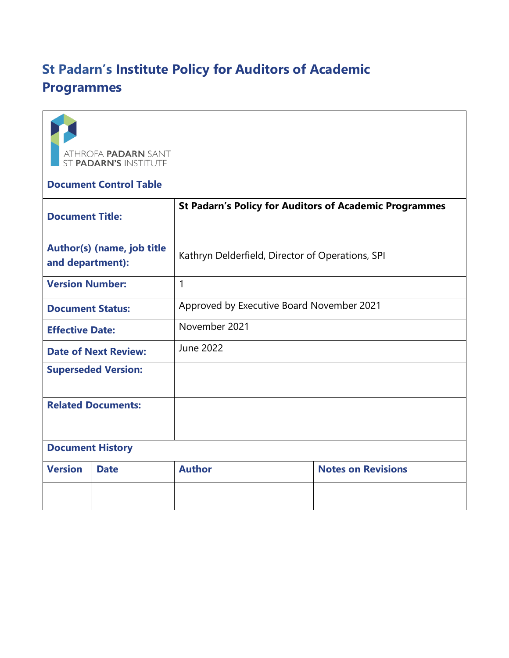# **St Padarn's Institute Policy for Auditors of Academic Programmes**



## **Document Control Table**

| <b>Document Title:</b>                         |             | <b>St Padarn's Policy for Auditors of Academic Programmes</b> |                           |
|------------------------------------------------|-------------|---------------------------------------------------------------|---------------------------|
| Author(s) (name, job title<br>and department): |             | Kathryn Delderfield, Director of Operations, SPI              |                           |
| <b>Version Number:</b>                         |             | 1                                                             |                           |
| <b>Document Status:</b>                        |             | Approved by Executive Board November 2021                     |                           |
| <b>Effective Date:</b>                         |             | November 2021                                                 |                           |
| <b>Date of Next Review:</b>                    |             | June 2022                                                     |                           |
| <b>Superseded Version:</b>                     |             |                                                               |                           |
| <b>Related Documents:</b>                      |             |                                                               |                           |
| <b>Document History</b>                        |             |                                                               |                           |
| <b>Version</b>                                 | <b>Date</b> | <b>Author</b>                                                 | <b>Notes on Revisions</b> |
|                                                |             |                                                               |                           |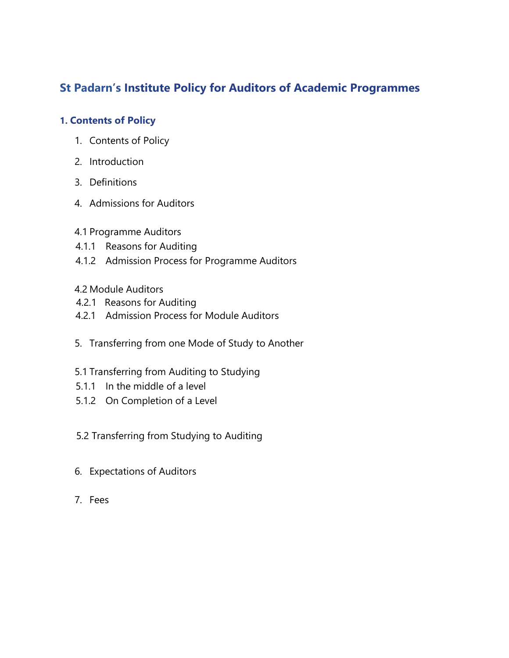# **St Padarn's Institute Policy for Auditors of Academic Programmes**

## **1. Contents of Policy**

- 1. Contents of Policy
- 2. Introduction
- 3. Definitions
- 4. Admissions for Auditors
- 4.1 Programme Auditors
- 4.1.1 Reasons for Auditing
- 4.1.2 Admission Process for Programme Auditors

## 4.2 Module Auditors

- 4.2.1 Reasons for Auditing
- 4.2.1 Admission Process for Module Auditors
- 5. Transferring from one Mode of Study to Another
- 5.1 Transferring from Auditing to Studying
- 5.1.1 In the middle of a level
- 5.1.2 On Completion of a Level
- 5.2 Transferring from Studying to Auditing
- 6. Expectations of Auditors
- 7. Fees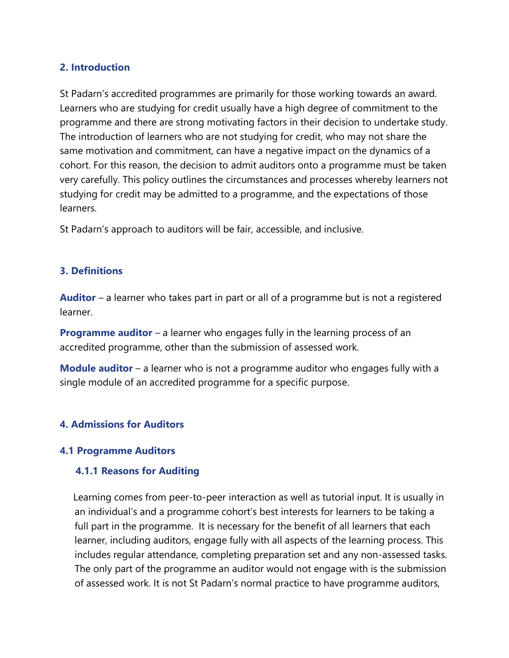#### **2. Introduction**

St Padarn's accredited programmes are primarily for those working towards an award. Learners who are studying for credit usually have a high degree of commitment to the programme and there are strong motivating factors in their decision to undertake study. The introduction of learners who are not studying for credit, who may not share the same motivation and commitment, can have a negative impact on the dynamics of a cohort. For this reason, the decision to admit auditors onto a programme must be taken very carefully. This policy outlines the circumstances and processes whereby learners not studying for credit may be admitted to a programme, and the expectations of those learners.

St Padarn's approach to auditors will be fair, accessible, and inclusive.

#### **3. Definitions**

**Auditor** – a learner who takes part in part or all of a programme but is not a registered learner.

**Programme auditor** – a learner who engages fully in the learning process of an accredited programme, other than the submission of assessed work.

**Module auditor** – a learner who is not a programme auditor who engages fully with a single module of an accredited programme for a specific purpose.

#### **4. Admissions for Auditors**

#### **4.1 Programme Auditors**

#### **4.1.1 Reasons for Auditing**

 Learning comes from peer-to-peer interaction as well as tutorial input. It is usually in an individual's and a programme cohort's best interests for learners to be taking a full part in the programme. It is necessary for the benefit of all learners that each learner, including auditors, engage fully with all aspects of the learning process. This includes regular attendance, completing preparation set and any non-assessed tasks. The only part of the programme an auditor would not engage with is the submission of assessed work. It is not St Padarn's normal practice to have programme auditors,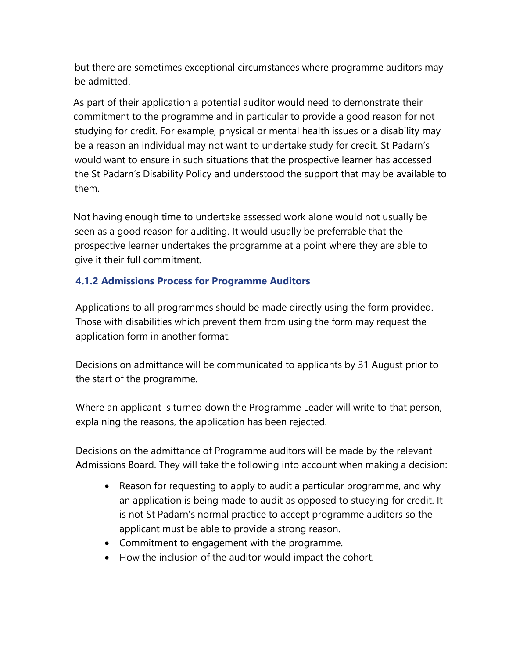but there are sometimes exceptional circumstances where programme auditors may be admitted.

 As part of their application a potential auditor would need to demonstrate their commitment to the programme and in particular to provide a good reason for not studying for credit. For example, physical or mental health issues or a disability may be a reason an individual may not want to undertake study for credit. St Padarn's would want to ensure in such situations that the prospective learner has accessed the St Padarn's Disability Policy and understood the support that may be available to them.

 Not having enough time to undertake assessed work alone would not usually be seen as a good reason for auditing. It would usually be preferrable that the prospective learner undertakes the programme at a point where they are able to give it their full commitment.

## **4.1.2 Admissions Process for Programme Auditors**

Applications to all programmes should be made directly using the form provided. Those with disabilities which prevent them from using the form may request the application form in another format.

Decisions on admittance will be communicated to applicants by 31 August prior to the start of the programme.

Where an applicant is turned down the Programme Leader will write to that person, explaining the reasons, the application has been rejected.

Decisions on the admittance of Programme auditors will be made by the relevant Admissions Board. They will take the following into account when making a decision:

- Reason for requesting to apply to audit a particular programme, and why an application is being made to audit as opposed to studying for credit. It is not St Padarn's normal practice to accept programme auditors so the applicant must be able to provide a strong reason.
- Commitment to engagement with the programme.
- How the inclusion of the auditor would impact the cohort.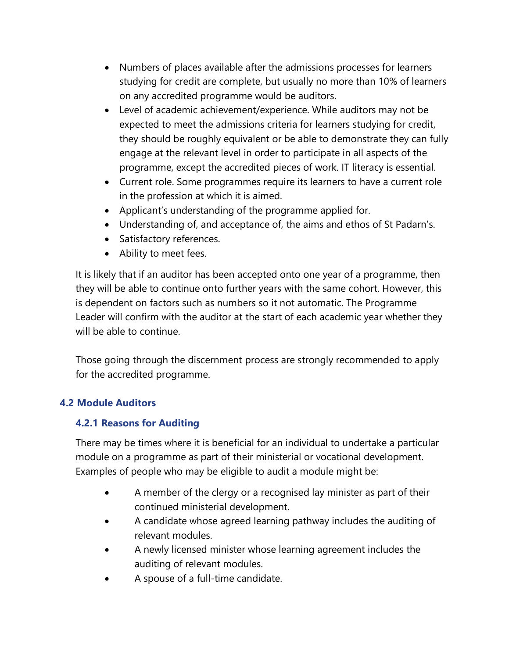- Numbers of places available after the admissions processes for learners studying for credit are complete, but usually no more than 10% of learners on any accredited programme would be auditors.
- Level of academic achievement/experience. While auditors may not be expected to meet the admissions criteria for learners studying for credit, they should be roughly equivalent or be able to demonstrate they can fully engage at the relevant level in order to participate in all aspects of the programme, except the accredited pieces of work. IT literacy is essential.
- Current role. Some programmes require its learners to have a current role in the profession at which it is aimed.
- Applicant's understanding of the programme applied for.
- Understanding of, and acceptance of, the aims and ethos of St Padarn's.
- Satisfactory references.
- Ability to meet fees.

It is likely that if an auditor has been accepted onto one year of a programme, then they will be able to continue onto further years with the same cohort. However, this is dependent on factors such as numbers so it not automatic. The Programme Leader will confirm with the auditor at the start of each academic year whether they will be able to continue.

Those going through the discernment process are strongly recommended to apply for the accredited programme.

## **4.2 Module Auditors**

## **4.2.1 Reasons for Auditing**

There may be times where it is beneficial for an individual to undertake a particular module on a programme as part of their ministerial or vocational development. Examples of people who may be eligible to audit a module might be:

- A member of the clergy or a recognised lay minister as part of their continued ministerial development.
- A candidate whose agreed learning pathway includes the auditing of relevant modules.
- A newly licensed minister whose learning agreement includes the auditing of relevant modules.
- A spouse of a full-time candidate.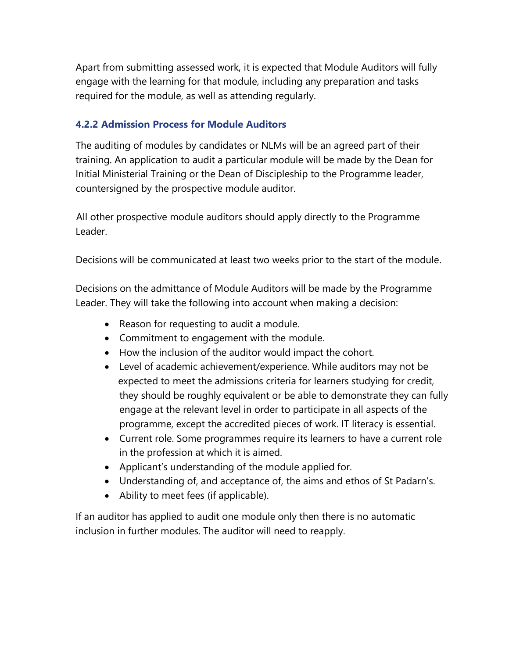Apart from submitting assessed work, it is expected that Module Auditors will fully engage with the learning for that module, including any preparation and tasks required for the module, as well as attending regularly.

## **4.2.2 Admission Process for Module Auditors**

The auditing of modules by candidates or NLMs will be an agreed part of their training. An application to audit a particular module will be made by the Dean for Initial Ministerial Training or the Dean of Discipleship to the Programme leader, countersigned by the prospective module auditor.

 All other prospective module auditors should apply directly to the Programme Leader.

Decisions will be communicated at least two weeks prior to the start of the module.

Decisions on the admittance of Module Auditors will be made by the Programme Leader. They will take the following into account when making a decision:

- Reason for requesting to audit a module.
- Commitment to engagement with the module.
- How the inclusion of the auditor would impact the cohort.
- Level of academic achievement/experience. While auditors may not be expected to meet the admissions criteria for learners studying for credit, they should be roughly equivalent or be able to demonstrate they can fully engage at the relevant level in order to participate in all aspects of the programme, except the accredited pieces of work. IT literacy is essential.
- Current role. Some programmes require its learners to have a current role in the profession at which it is aimed.
- Applicant's understanding of the module applied for.
- Understanding of, and acceptance of, the aims and ethos of St Padarn's.
- Ability to meet fees (if applicable).

If an auditor has applied to audit one module only then there is no automatic inclusion in further modules. The auditor will need to reapply.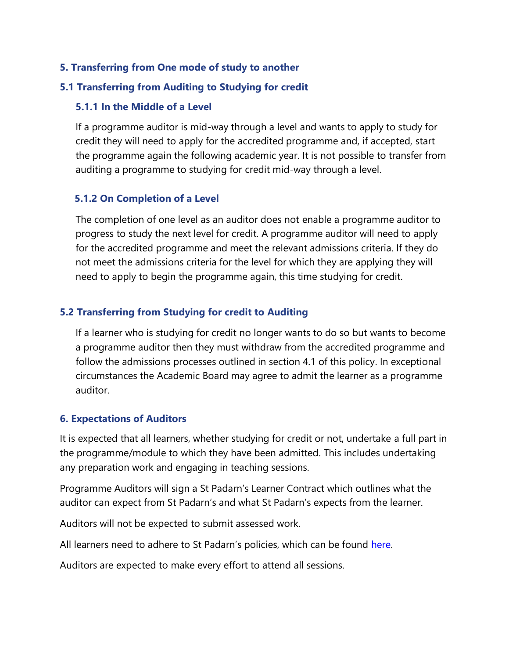## **5. Transferring from One mode of study to another**

#### **5.1 Transferring from Auditing to Studying for credit**

## **5.1.1 In the Middle of a Level**

If a programme auditor is mid-way through a level and wants to apply to study for credit they will need to apply for the accredited programme and, if accepted, start the programme again the following academic year. It is not possible to transfer from auditing a programme to studying for credit mid-way through a level.

## **5.1.2 On Completion of a Level**

The completion of one level as an auditor does not enable a programme auditor to progress to study the next level for credit. A programme auditor will need to apply for the accredited programme and meet the relevant admissions criteria. If they do not meet the admissions criteria for the level for which they are applying they will need to apply to begin the programme again, this time studying for credit.

## **5.2 Transferring from Studying for credit to Auditing**

If a learner who is studying for credit no longer wants to do so but wants to become a programme auditor then they must withdraw from the accredited programme and follow the admissions processes outlined in section 4.1 of this policy. In exceptional circumstances the Academic Board may agree to admit the learner as a programme auditor.

#### **6. Expectations of Auditors**

It is expected that all learners, whether studying for credit or not, undertake a full part in the programme/module to which they have been admitted. This includes undertaking any preparation work and engaging in teaching sessions.

Programme Auditors will sign a St Padarn's Learner Contract which outlines what the auditor can expect from St Padarn's and what St Padarn's expects from the learner.

Auditors will not be expected to submit assessed work.

All learners need to adhere to St Padarn's policies, which can be found [here.](https://www.stpadarns.ac.uk/en/about/policies/)

Auditors are expected to make every effort to attend all sessions.